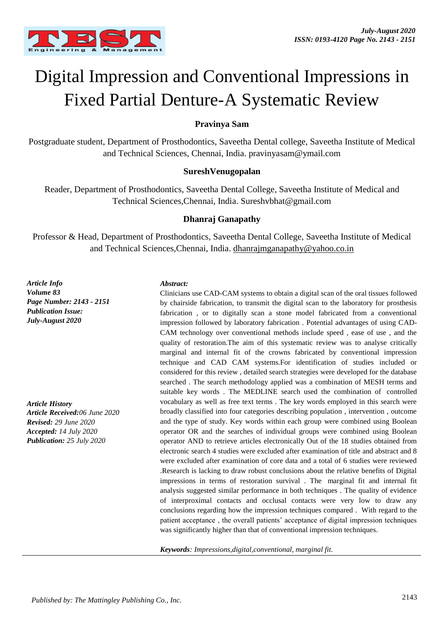

# Digital Impression and Conventional Impressions in Fixed Partial Denture-A Systematic Review

#### **Pravinya Sam**

Postgraduate student, Department of Prosthodontics, Saveetha Dental college, Saveetha Institute of Medical and Technical Sciences, Chennai, India. pravinyasam@ymail.com

#### **SureshVenugopalan**

Reader, Department of Prosthodontics, Saveetha Dental College, Saveetha Institute of Medical and Technical Sciences,Chennai, India. Sureshvbhat@gmail.com

#### **Dhanraj Ganapathy**

Professor & Head, Department of Prosthodontics, Saveetha Dental College, Saveetha Institute of Medical and Technical Sciences,Chennai, India. dhanrajmganapathy@yahoo.co.in

*Article Info Volume 83 Page Number: 2143 - 2151 Publication Issue: July-August 2020*

*Article History Article Received:06 June 2020 Revised: 29 June 2020 Accepted: 14 July 2020 Publication: 25 July 2020*

#### *Abstract:*

Clinicians use CAD-CAM systems to obtain a digital scan of the oral tissues followed by chairside fabrication, to transmit the digital scan to the laboratory for prosthesis fabrication , or to digitally scan a stone model fabricated from a conventional impression followed by laboratory fabrication . Potential advantages of using CAD-CAM technology over conventional methods include speed , ease of use , and the quality of restoration.The aim of this systematic review was to analyse critically marginal and internal fit of the crowns fabricated by conventional impression technique and CAD CAM systems.For identification of studies included or considered for this review , detailed search strategies were developed for the database searched . The search methodology applied was a combination of MESH terms and suitable key words . The MEDLINE search used the combination of controlled vocabulary as well as free text terms . The key words employed in this search were broadly classified into four categories describing population , intervention , outcome and the type of study. Key words within each group were combined using Boolean operator OR and the searches of individual groups were combined using Boolean operator AND to retrieve articles electronically Out of the 18 studies obtained from electronic search 4 studies were excluded after examination of title and abstract and 8 were excluded after examination of core data and a total of 6 studies were reviewed .Research is lacking to draw robust conclusions about the relative benefits of Digital impressions in terms of restoration survival . The marginal fit and internal fit analysis suggested similar performance in both techniques . The quality of evidence of interproximal contacts and occlusal contacts were very low to draw any conclusions regarding how the impression techniques compared . With regard to the patient acceptance , the overall patients' acceptance of digital impression techniques was significantly higher than that of conventional impression techniques.

*Keywords: Impressions,digital,conventional, marginal fit.*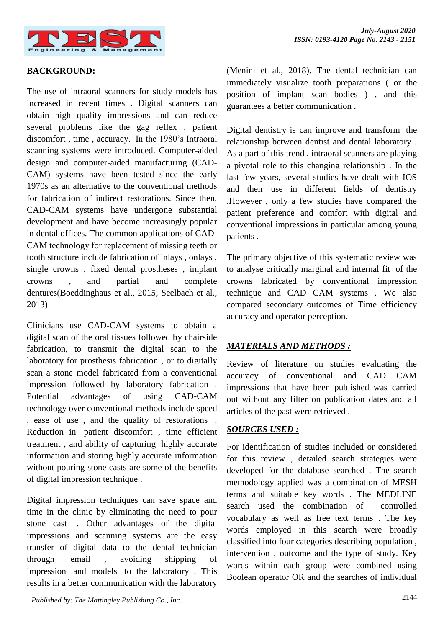

#### **BACKGROUND:**

The use of intraoral scanners for study models has increased in recent times . Digital scanners can obtain high quality impressions and can reduce several problems like the gag reflex , patient discomfort , time , accuracy. In the 1980's Intraoral scanning systems were introduced. Computer-aided design and computer-aided manufacturing (CAD-CAM) systems have been tested since the early 1970s as an alternative to the conventional methods for fabrication of indirect restorations. Since then, CAD-CAM systems have undergone substantial development and have become increasingly popular in dental offices. The common applications of CAD-CAM technology for replacement of missing teeth or tooth structure include fabrication of inlays , onlays , single crowns , fixed dental prostheses , implant crowns , and partial and complete denture[s\(Boeddinghaus et al., 2015; Seelbach et al.,](https://paperpile.com/c/eGj7ra/kgV2+DIJQ)  [2013\)](https://paperpile.com/c/eGj7ra/kgV2+DIJQ)

Clinicians use CAD-CAM systems to obtain a digital scan of the oral tissues followed by chairside fabrication, to transmit the digital scan to the laboratory for prosthesis fabrication , or to digitally scan a stone model fabricated from a conventional impression followed by laboratory fabrication . Potential advantages of using CAD-CAM technology over conventional methods include speed , ease of use , and the quality of restorations . Reduction in patient discomfort , time efficient treatment , and ability of capturing highly accurate information and storing highly accurate information without pouring stone casts are some of the benefits of digital impression technique .

Digital impression techniques can save space and time in the clinic by eliminating the need to pour stone cast . Other advantages of the digital impressions and scanning systems are the easy transfer of digital data to the dental technician through email , avoiding shipping of impression and models to the laboratory . This results in a better communication with the laboratory

2144 *Published by: The Mattingley Publishing Co., Inc.*

[\(Menini et al., 2018\).](https://paperpile.com/c/eGj7ra/uE3K) The dental technician can immediately visualize tooth preparations ( or the position of implant scan bodies ) , and this guarantees a better communication .

Digital dentistry is can improve and transform the relationship between dentist and dental laboratory . As a part of this trend , intraoral scanners are playing a pivotal role to this changing relationship . In the last few years, several studies have dealt with IOS and their use in different fields of dentistry .However , only a few studies have compared the patient preference and comfort with digital and conventional impressions in particular among young patients .

The primary objective of this systematic review was to analyse critically marginal and internal fit of the crowns fabricated by conventional impression technique and CAD CAM systems . We also compared secondary outcomes of Time efficiency accuracy and operator perception.

## *MATERIALS AND METHODS :*

Review of literature on studies evaluating the accuracy of conventional and CAD CAM impressions that have been published was carried out without any filter on publication dates and all articles of the past were retrieved .

#### *SOURCES USED :*

For identification of studies included or considered for this review , detailed search strategies were developed for the database searched . The search methodology applied was a combination of MESH terms and suitable key words . The MEDLINE search used the combination of controlled vocabulary as well as free text terms . The key words employed in this search were broadly classified into four categories describing population , intervention , outcome and the type of study. Key words within each group were combined using Boolean operator OR and the searches of individual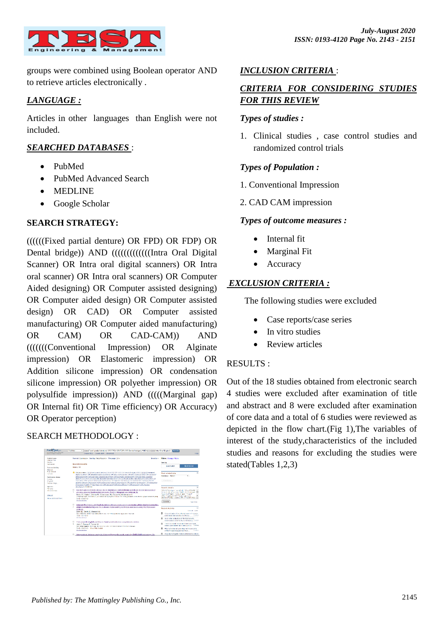

groups were combined using Boolean operator AND to retrieve articles electronically .

# *LANGUAGE :*

Articles in other languages than English were not included.

# *SEARCHED DATABASES* :

- PubMed
- PubMed Advanced Search
- MEDLINE
- Google Scholar

# **SEARCH STRATEGY:**

((((((Fixed partial denture) OR FPD) OR FDP) OR Dental bridge)) AND ((((((((((((((Intra Oral Digital)) Scanner) OR Intra oral digital scanners) OR Intra oral scanner) OR Intra oral scanners) OR Computer Aided designing) OR Computer assisted designing) OR Computer aided design) OR Computer assisted design) OR CAD) OR Computer assisted manufacturing) OR Computer aided manufacturing) OR CAM) OR CAD-CAM)) AND (((((((Conventional Impression) OR Alginate impression) OR Elastomeric impression) OR Addition silicone impression) OR condensation silicone impression) OR polyether impression) OR polysulfide impression)) AND (((((Marginal gap) OR Internal fit) OR Time efficiency) OR Accuracy) OR Operator perception)

# SEARCH METHODOLOGY :



# *INCLUSION CRITERIA* :

# *CRITERIA FOR CONSIDERING STUDIES FOR THIS REVIEW*

# *Types of studies :*

1. Clinical studies , case control studies and randomized control trials

# *Types of Population :*

- 1. Conventional Impression
- 2. CAD CAM impression

## *Types of outcome measures :*

- Internal fit
- Marginal Fit
- Accuracy

# *EXCLUSION CRITERIA :*

The following studies were excluded

- Case reports/case series
- In vitro studies
- Review articles

## RESULTS :

Out of the 18 studies obtained from electronic search 4 studies were excluded after examination of title and abstract and 8 were excluded after examination of core data and a total of 6 studies were reviewed as depicted in the flow chart.(Fig 1),The variables of interest of the study,characteristics of the included studies and reasons for excluding the studies were stated(Tables 1,2,3)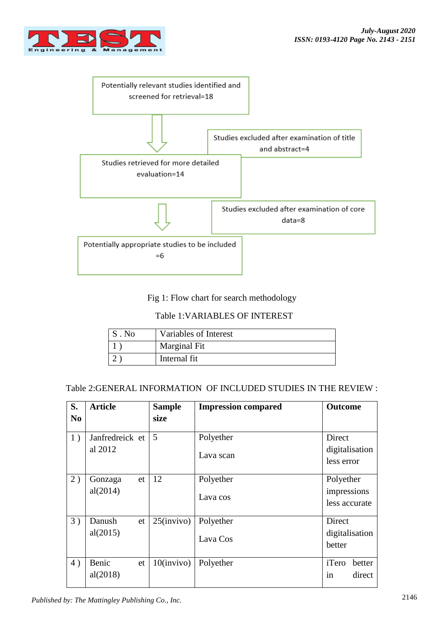



Fig 1: Flow chart for search methodology

# Table 1:VARIABLES OF INTEREST

|              | $\cdot$ . No | Variables of Interest |
|--------------|--------------|-----------------------|
| Marginal Fit |              |                       |
|              |              | Internal fit          |

# Table 2:GENERAL INFORMATION OF INCLUDED STUDIES IN THE REVIEW :

| S.<br>N <sub>0</sub> | <b>Article</b>             | <b>Sample</b><br>size | <b>Impression compared</b> | <b>Outcome</b>                            |
|----------------------|----------------------------|-----------------------|----------------------------|-------------------------------------------|
| 1)                   | Janfredreick et<br>al 2012 | 5                     | Polyether<br>Lava scan     | Direct<br>digitalisation<br>less error    |
| 2)                   | Gonzaga<br>et<br>al(2014)  | 12                    | Polyether<br>Lava cos      | Polyether<br>impressions<br>less accurate |
| 3)                   | Danush<br>et<br>al(2015)   | $25$ (invivo)         | Polyether<br>Lava Cos      | Direct<br>digitalisation<br>better        |
| 4)                   | Benic<br>et<br>al(2018)    | $10$ (invivo)         | Polyether                  | iTero<br>better<br>direct<br>in           |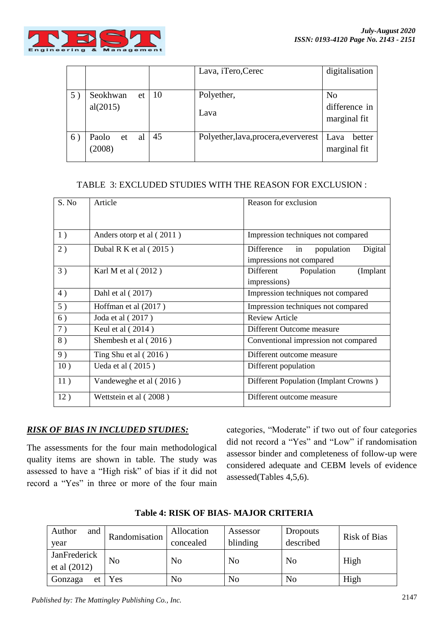

|    |                             |    | Lava, iTero, Cerec                    | digitalisation                                  |
|----|-----------------------------|----|---------------------------------------|-------------------------------------------------|
| 5) | Seokhwan<br>et<br>al(2015)  | 10 | Polyether,<br>Lava                    | N <sub>o</sub><br>difference in<br>marginal fit |
| 6) | Paolo<br>al<br>et<br>(2008) | 45 | Polyether, lava, procera, every erest | Lava<br>better<br>marginal fit                  |

## TABLE 3: EXCLUDED STUDIES WITH THE REASON FOR EXCLUSION :

| S. No | Article                   | Reason for exclusion                                                  |  |
|-------|---------------------------|-----------------------------------------------------------------------|--|
|       |                           |                                                                       |  |
| 1)    | Anders otorp et al (2011) | Impression techniques not compared                                    |  |
| 2)    | Dubal R K et al $(2015)$  | Difference<br>Digital<br>population<br>in<br>impressions not compared |  |
| 3)    | Karl M et al (2012)       | Different<br>(Implant<br>Population<br>impressions)                   |  |
| 4)    | Dahl et al (2017)         | Impression techniques not compared                                    |  |
| 5)    | Hoffman et al (2017)      | Impression techniques not compared                                    |  |
| 6)    | Joda et al (2017)         | <b>Review Article</b>                                                 |  |
| 7)    | Keul et al (2014)         | Different Outcome measure                                             |  |
| 8)    | Shembesh et al (2016)     | Conventional impression not compared                                  |  |
| 9)    | Ting Shu et al $(2016)$   | Different outcome measure                                             |  |
| 10)   | Ueda et al $(2015)$       | Different population                                                  |  |
| 11)   | Vandeweghe et al (2016)   | Different Population (Implant Crowns)                                 |  |
| 12)   | Wettstein et al (2008)    | Different outcome measure                                             |  |

## *RISK OF BIAS IN INCLUDED STUDIES:*

The assessments for the four main methodological quality items are shown in table. The study was assessed to have a "High risk" of bias if it did not record a "Yes" in three or more of the four main

categories, "Moderate" if two out of four categories did not record a "Yes" and "Low" if randomisation assessor binder and completeness of follow-up were considered adequate and CEBM levels of evidence assessed(Tables 4,5,6).

| Author<br>and<br>year          | Randomisation  | Allocation<br>concealed | Assessor<br>blinding | <b>Dropouts</b><br>described | <b>Risk of Bias</b> |
|--------------------------------|----------------|-------------------------|----------------------|------------------------------|---------------------|
| JanFrederick<br>et al $(2012)$ | N <sub>o</sub> | No                      | No                   | No                           | High                |
| Gonzaga<br>et                  | Yes            | No                      | No                   | No                           | High                |

**Table 4: RISK OF BIAS- MAJOR CRITERIA**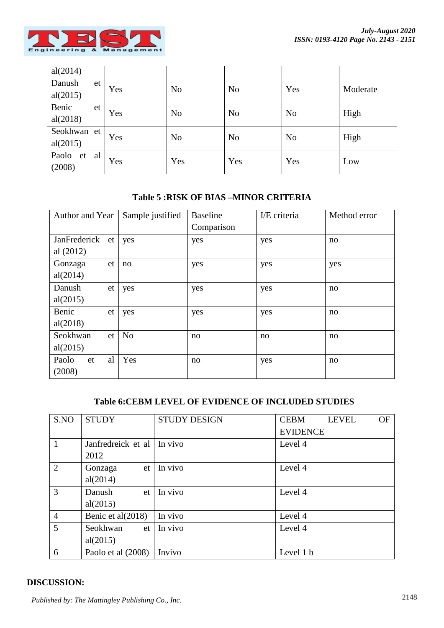

| al(2014)    |    |     |                |                |                |          |
|-------------|----|-----|----------------|----------------|----------------|----------|
| Danush      | et | Yes | N <sub>o</sub> | N <sub>o</sub> | Yes            | Moderate |
| al(2015)    |    |     |                |                |                |          |
| Benic       | et | Yes | N <sub>o</sub> | N <sub>o</sub> | N <sub>o</sub> | High     |
| al(2018)    |    |     |                |                |                |          |
| Seokhwan et |    | Yes | N <sub>o</sub> | N <sub>o</sub> | N <sub>o</sub> | High     |
| al(2015)    |    |     |                |                |                |          |
| Paolo et    | al | Yes | Yes            | Yes            | Yes            |          |
| (2008)      |    |     |                |                |                | Low      |

# **Table 5 :RISK OF BIAS –MINOR CRITERIA**

| Author and Year   | Sample justified | <b>Baseline</b> | I/E criteria | Method error |
|-------------------|------------------|-----------------|--------------|--------------|
|                   |                  | Comparison      |              |              |
| JanFrederick et   | yes              | yes             | yes          | no           |
| al $(2012)$       |                  |                 |              |              |
| Gonzaga<br>et     | no               | yes             | yes          | yes          |
| al(2014)          |                  |                 |              |              |
| Danush<br>et      | yes              | yes             | yes          | no           |
| al(2015)          |                  |                 |              |              |
| Benic<br>et       | yes              | yes             | yes          | no           |
| al(2018)          |                  |                 |              |              |
| Seokhwan<br>et    | N <sub>o</sub>   | no              | no           | no           |
| al(2015)          |                  |                 |              |              |
| Paolo<br>al<br>et | Yes              | no              | yes          | no           |
| (2008)            |                  |                 |              |              |

## **Table 6:CEBM LEVEL OF EVIDENCE OF INCLUDED STUDIES**

| S.NO           | <b>STUDY</b>         | <b>STUDY DESIGN</b> | <b>OF</b><br><b>CEBM</b><br><b>LEVEL</b> |
|----------------|----------------------|---------------------|------------------------------------------|
|                |                      |                     | <b>EVIDENCE</b>                          |
| $\vert$ 1      | Janfredreick et al   | In vivo             | Level 4                                  |
|                | 2012                 |                     |                                          |
| $\overline{2}$ | Gonzaga<br>et        | In vivo             | Level 4                                  |
|                | al(2014)             |                     |                                          |
| $\overline{3}$ | Danush<br>et         | In vivo             | Level 4                                  |
|                | al(2015)             |                     |                                          |
| $\overline{4}$ | Benic et al $(2018)$ | In vivo             | Level 4                                  |
| $\overline{5}$ | Seokhwan<br>et       | In vivo             | Level 4                                  |
|                | al(2015)             |                     |                                          |
| 6              | Paolo et al (2008)   | Invivo              | Level 1 b                                |

# **DISCUSSION:**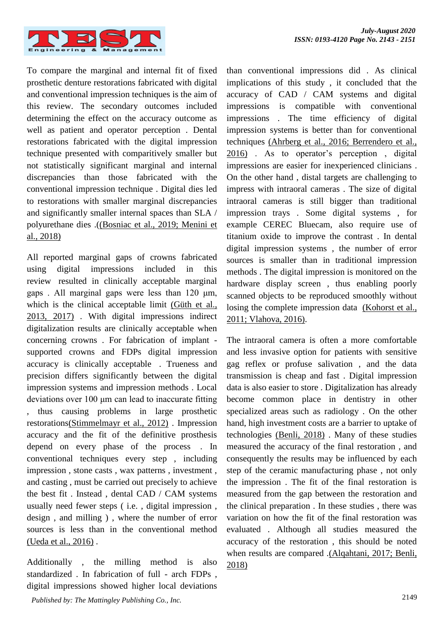

To compare the marginal and internal fit of fixed prosthetic denture restorations fabricated with digital and conventional impression techniques is the aim of this review. The secondary outcomes included determining the effect on the accuracy outcome as well as patient and operator perception . Dental restorations fabricated with the digital impression technique presented with comparitively smaller but not statistically significant marginal and internal discrepancies than those fabricated with the conventional impression technique . Digital dies led to restorations with smaller marginal discrepancies and significantly smaller internal spaces than SLA / polyurethane dies .[\(\(Bosniac et al., 2019; Menini et](https://paperpile.com/c/eGj7ra/uE3K+ILw2)  [al., 2018\)](https://paperpile.com/c/eGj7ra/uE3K+ILw2)

All reported marginal gaps of crowns fabricated using digital impressions included in this review resulted in clinically acceptable marginal gaps . All marginal gaps were less than 120 μm, which is the clinical acceptable limit [\(Güth et al.,](https://paperpile.com/c/eGj7ra/NSmS+R1VF)  [2013, 2017\)](https://paperpile.com/c/eGj7ra/NSmS+R1VF) . With digital impressions indirect digitalization results are clinically acceptable when concerning crowns . For fabrication of implant supported crowns and FDPs digital impression accuracy is clinically acceptable . Trueness and precision differs significantly between the digital impression systems and impression methods . Local deviations over 100 μm can lead to inaccurate fitting , thus causing problems in large prosthetic restoration[s\(Stimmelmayr et al., 2012\)](https://paperpile.com/c/eGj7ra/jL0d) . Impression accuracy and the fit of the definitive prosthesis depend on every phase of the process . In conventional techniques every step , including impression , stone casts , wax patterns , investment , and casting , must be carried out precisely to achieve the best fit . Instead , dental CAD / CAM systems usually need fewer steps ( i.e. , digital impression , design , and milling ) , where the number of error sources is less than in the conventional method [\(Ueda et al., 2016\)](https://paperpile.com/c/eGj7ra/5znG) .

Additionally , the milling method is also standardized . In fabrication of full - arch FDPs , digital impressions showed higher local deviations than conventional impressions did . As clinical implications of this study , it concluded that the accuracy of CAD / CAM systems and digital impressions is compatible with conventional impressions . The time efficiency of digital impression systems is better than for conventional techniques [\(Ahrberg et al., 2016; Berrendero et al.,](https://paperpile.com/c/eGj7ra/kWQI+6lWY)  [2016\)](https://paperpile.com/c/eGj7ra/kWQI+6lWY) . As to operator's perception , digital impressions are easier for inexperienced clinicians . On the other hand , distal targets are challenging to impress with intraoral cameras . The size of digital intraoral cameras is still bigger than traditional impression trays . Some digital systems , for example CEREC Bluecam, also require use of titanium oxide to improve the contrast . In dental digital impression systems , the number of error sources is smaller than in traditional impression methods . The digital impression is monitored on the hardware display screen , thus enabling poorly scanned objects to be reproduced smoothly without losing the complete impression data [\(Kohorst et al.,](https://paperpile.com/c/eGj7ra/KGNg+133a)  [2011; Vlahova, 2016\).](https://paperpile.com/c/eGj7ra/KGNg+133a)

The intraoral camera is often a more comfortable and less invasive option for patients with sensitive gag reflex or profuse salivation , and the data transmission is cheap and fast . Digital impression data is also easier to store . Digitalization has already become common place in dentistry in other specialized areas such as radiology . On the other hand, high investment costs are a barrier to uptake of technologies [\(Benli, 2018\)](https://paperpile.com/c/eGj7ra/6y0i) . Many of these studies measured the accuracy of the final restoration , and consequently the results may be influenced by each step of the ceramic manufacturing phase , not only the impression . The fit of the final restoration is measured from the gap between the restoration and the clinical preparation . In these studies , there was variation on how the fit of the final restoration was evaluated . Although all studies measured the accuracy of the restoration , this should be noted when results are compared [.\(Alqahtani, 2017; Benli,](https://paperpile.com/c/eGj7ra/6y0i+EmBm)  [2018\)](https://paperpile.com/c/eGj7ra/6y0i+EmBm)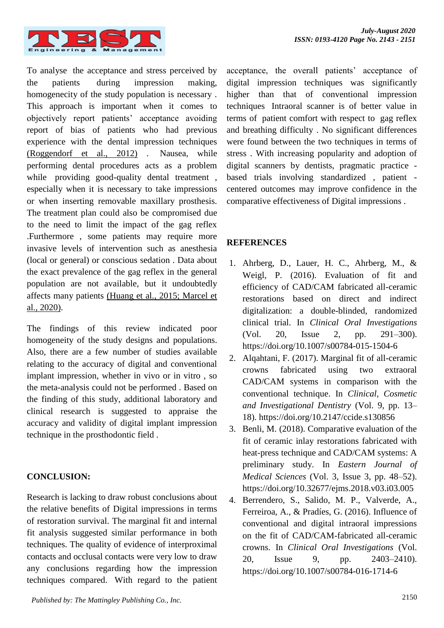

To analyse the acceptance and stress perceived by the patients during impression making, homogenecity of the study population is necessary . This approach is important when it comes to objectively report patients' acceptance avoiding report of bias of patients who had previous experience with the dental impression techniques [\(Roggendorf et al., 2012\)](https://paperpile.com/c/eGj7ra/mXqu) . Nausea, while performing dental procedures acts as a problem while providing good-quality dental treatment, especially when it is necessary to take impressions or when inserting removable maxillary prosthesis. The treatment plan could also be compromised due to the need to limit the impact of the gag reflex .Furthermore , some patients may require more invasive levels of intervention such as anesthesia (local or general) or conscious sedation . Data about the exact prevalence of the gag reflex in the general population are not available, but it undoubtedly affects many patients [\(Huang et al., 2015; Marcel et](https://paperpile.com/c/eGj7ra/v1ww+y5FX)  [al., 2020\).](https://paperpile.com/c/eGj7ra/v1ww+y5FX)

The findings of this review indicated poor homogeneity of the study designs and populations. Also, there are a few number of studies available relating to the accuracy of digital and conventional implant impression, whether in vivo or in vitro , so the meta-analysis could not be performed . Based on the finding of this study, additional laboratory and clinical research is suggested to appraise the accuracy and validity of digital implant impression technique in the prosthodontic field .

## **CONCLUSION:**

Research is lacking to draw robust conclusions about the relative benefits of Digital impressions in terms of restoration survival. The marginal fit and internal fit analysis suggested similar performance in both techniques. The quality of evidence of interproximal contacts and occlusal contacts were very low to draw any conclusions regarding how the impression techniques compared. With regard to the patient acceptance, the overall patients' acceptance of digital impression techniques was significantly higher than that of conventional impression techniques Intraoral scanner is of better value in terms of patient comfort with respect to gag reflex and breathing difficulty . No significant differences were found between the two techniques in terms of stress . With increasing popularity and adoption of digital scanners by dentists, pragmatic practice based trials involving standardized , patient centered outcomes may improve confidence in the comparative effectiveness of Digital impressions .

## **REFERENCES**

- 1. Ahrberg, D., Lauer, H. C., Ahrberg, M., & Weigl, P. (2016). Evaluation of fit and efficiency of CAD/CAM fabricated all-ceramic restorations based on direct and indirect digitalization: a double-blinded, randomized clinical trial. In *Clinical Oral Investigations* (Vol. 20, Issue 2, pp. 291–300). https://doi.org/10.1007/s00784-015-1504-6
- 2. Alqahtani, F. (2017). Marginal fit of all-ceramic crowns fabricated using two extraoral CAD/CAM systems in comparison with the conventional technique. In *Clinical, Cosmetic and Investigational Dentistry* (Vol. 9, pp. 13– 18). https://doi.org[/10.2147/ccide.s130856](http://dx.doi.org/10.2147/ccide.s130856)
- 3. Benli, M. (2018). Comparative evaluation of the fit of ceramic inlay restorations fabricated with heat-press technique and CAD/CAM systems: A preliminary study. In *Eastern Journal of Medical Sciences* (Vol. 3, Issue 3, pp. 48–52). https://doi.org[/10.32677/ejms.2018.v03.i03.005](http://dx.doi.org/10.32677/ejms.2018.v03.i03.005)
- 4. Berrendero, S., Salido, M. P., Valverde, A., Ferreiroa, A., & Pradíes, G. (2016). Influence of conventional and digital intraoral impressions on the fit of CAD/CAM-fabricated all-ceramic crowns. In *Clinical Oral Investigations* (Vol. 20, Issue 9, pp. 2403–2410). https://doi.org[/10.1007/s00784-016-1714-6](http://dx.doi.org/10.1007/s00784-016-1714-6)